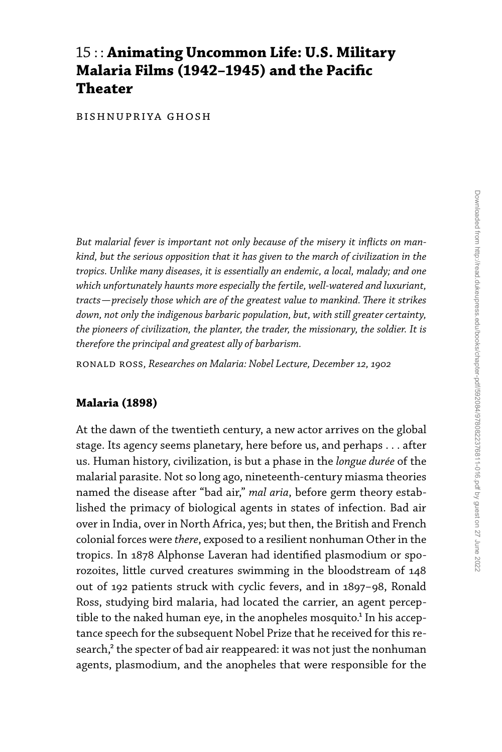# 15 : : **Animating Uncommon Life: U.S. Military Malaria Films (1942–1945) and the Pacific Theater**

Bishnupriya Ghosh

*But malarial fever is important not only because of the misery it inflicts on mankind, but the serious opposition that it has given to the march of civilization in the tropics. Unlike many diseases, it is essentially an endemic, a local, malady; and one which unfortunately haunts more especially the fertile, well-watered and luxuriant, tracts—precisely those which are of the greatest value to mankind. There it strikes down, not only the indigenous barbaric population, but, with still greater certainty, the pioneers of civilization, the planter, the trader, the missionary, the soldier. It is therefore the principal and greatest ally of barbarism.*

Ronald Ross*, Researches on Malaria: Nobel Lecture, December 12, 1902*

#### **Malaria (1898)**

At the dawn of the twentieth century, a new actor arrives on the global stage. Its agency seems planetary, here before us, and perhaps . . . after us. Human history, civilization, is but a phase in the *longue durée* of the malarial parasite. Not so long ago, nineteenth-century miasma theories named the disease after "bad air," *mal aria*, before germ theory established the primacy of biological agents in states of infection. Bad air over in India, over in North Africa, yes; but then, the British and French colonial forces were *there*, exposed to a resilient nonhuman Other in the tropics. In 1878 Alphonse Laveran had identified plasmodium or sporozoites, little curved creatures swimming in the bloodstream of 148 out of 192 patients struck with cyclic fevers, and in 1897–98, Ronald Ross, studying bird malaria, had located the carrier, an agent perceptible to the naked human eye, in the anopheles mosquito.<sup>1</sup> In his acceptance speech for the subsequent Nobel Prize that he received for this research,<sup>2</sup> the specter of bad air reappeared: it was not just the nonhuman agents, plasmodium, and the anopheles that were responsible for the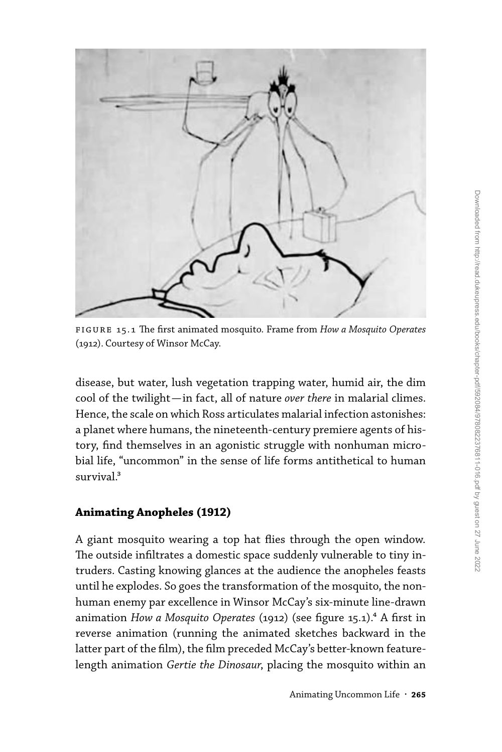

Figure 15.1 The first animated mosquito. Frame from *How a Mosquito Operates* (1912). Courtesy of Winsor McCay.

disease, but water, lush vegetation trapping water, humid air, the dim cool of the twilight—in fact, all of nature *over there* in malarial climes. Hence, the scale on which Ross articulates malarial infection astonishes: a planet where humans, the nineteenth-century premiere agents of history, find themselves in an agonistic struggle with nonhuman microbial life, "uncommon" in the sense of life forms antithetical to human survival.<sup>3</sup>

## **Animating Anopheles (1912)**

A giant mosquito wearing a top hat flies through the open window. The outside infiltrates a domestic space suddenly vulnerable to tiny intruders. Casting knowing glances at the audience the anopheles feasts until he explodes. So goes the transformation of the mosquito, the nonhuman enemy par excellence in Winsor McCay's six-minute line-drawn animation *How a Mosquito Operates* (1912) (see figure 15.1).<sup>4</sup> A first in reverse animation (running the animated sketches backward in the latter part of the film), the film preceded McCay's better-known featurelength animation *Gertie the Dinosaur*, placing the mosquito within an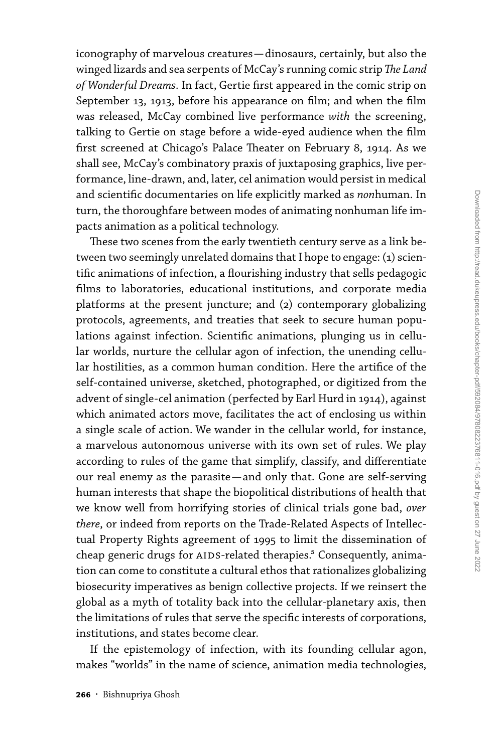iconography of marvelous creatures—dinosaurs, certainly, but also the winged lizards and sea serpents of McCay's running comic strip *The Land of Wonderful Dreams*. In fact, Gertie first appeared in the comic strip on September 13, 1913, before his appearance on film; and when the film was released, McCay combined live performance *with* the screening, talking to Gertie on stage before a wide-eyed audience when the film first screened at Chicago's Palace Theater on February 8, 1914. As we shall see, McCay's combinatory praxis of juxtaposing graphics, live performance, line-drawn, and, later, cel animation would persist in medical and scientific documentaries on life explicitly marked as *non*human. In turn, the thoroughfare between modes of animating nonhuman life impacts animation as a political technology.

These two scenes from the early twentieth century serve as a link between two seemingly unrelated domains that I hope to engage: (1) scientific animations of infection, a flourishing industry that sells pedagogic films to laboratories, educational institutions, and corporate media platforms at the present juncture; and (2) contemporary globalizing protocols, agreements, and treaties that seek to secure human populations against infection. Scientific animations, plunging us in cellular worlds, nurture the cellular agon of infection, the unending cellular hostilities, as a common human condition. Here the artifice of the self-contained universe, sketched, photographed, or digitized from the advent of single-cel animation (perfected by Earl Hurd in 1914), against which animated actors move, facilitates the act of enclosing us within a single scale of action. We wander in the cellular world, for instance, a marvelous autonomous universe with its own set of rules. We play according to rules of the game that simplify, classify, and differentiate our real enemy as the parasite—and only that. Gone are self-serving human interests that shape the biopolitical distributions of health that we know well from horrifying stories of clinical trials gone bad, *over there*, or indeed from reports on the Trade-Related Aspects of Intellectual Property Rights agreement of 1995 to limit the dissemination of cheap generic drugs for AIDS-related therapies.<sup>5</sup> Consequently, animation can come to constitute a cultural ethos that rationalizes globalizing biosecurity imperatives as benign collective projects. If we reinsert the global as a myth of totality back into the cellular-planetary axis, then the limitations of rules that serve the specific interests of corporations, institutions, and states become clear.

If the epistemology of infection, with its founding cellular agon, makes "worlds" in the name of science, animation media technologies,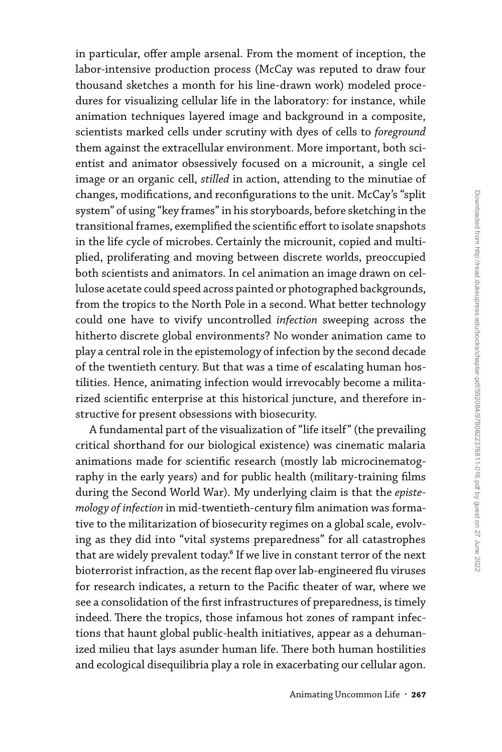in particular, offer ample arsenal. From the moment of inception, the labor-intensive production process (McCay was reputed to draw four thousand sketches a month for his line-drawn work) modeled procedures for visualizing cellular life in the laboratory: for instance, while animation techniques layered image and background in a composite, scientists marked cells under scrutiny with dyes of cells to *foreground* them against the extracellular environment. More important, both scientist and animator obsessively focused on a microunit, a single cel image or an organic cell, *stilled* in action, attending to the minutiae of changes, modifications, and reconfigurations to the unit. McCay's "split system" of using "key frames" in his storyboards, before sketching in the transitional frames, exemplified the scientific effort to isolate snapshots in the life cycle of microbes. Certainly the microunit, copied and multiplied, proliferating and moving between discrete worlds, preoccupied both scientists and animators. In cel animation an image drawn on cellulose acetate could speed across painted or photographed backgrounds, from the tropics to the North Pole in a second. What better technology could one have to vivify uncontrolled *infection* sweeping across the hitherto discrete global environments? No wonder animation came to play a central role in the epistemology of infection by the second decade of the twentieth century. But that was a time of escalating human hostilities. Hence, animating infection would irrevocably become a militarized scientific enterprise at this historical juncture, and therefore instructive for present obsessions with biosecurity.

A fundamental part of the visualization of "life itself" (the prevailing critical shorthand for our biological existence) was cinematic malaria animations made for scientific research (mostly lab microcinematography in the early years) and for public health (military-training films during the Second World War). My underlying claim is that the *epistemology of infection* in mid-twentieth-century film animation was formative to the militarization of biosecurity regimes on a global scale, evolving as they did into "vital systems preparedness" for all catastrophes that are widely prevalent today.<sup>6</sup> If we live in constant terror of the next bioterrorist infraction, as the recent flap over lab-engineered flu viruses for research indicates, a return to the Pacific theater of war, where we see a consolidation of the first infrastructures of preparedness, is timely indeed. There the tropics, those infamous hot zones of rampant infections that haunt global public-health initiatives, appear as a dehumanized milieu that lays asunder human life. There both human hostilities and ecological disequilibria play a role in exacerbating our cellular agon.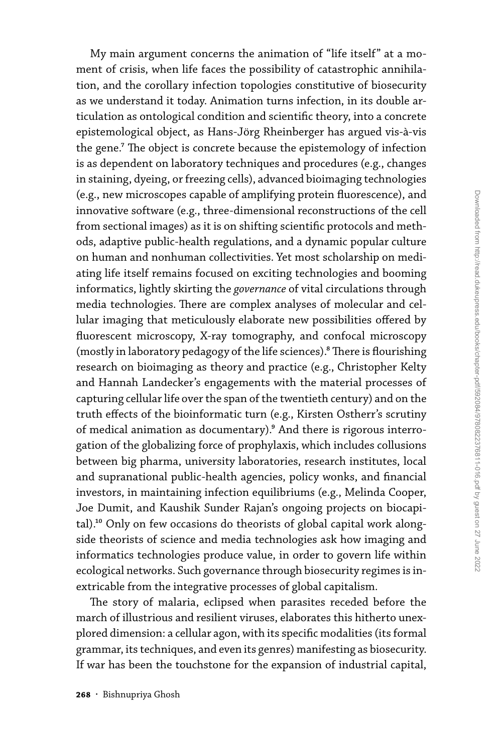My main argument concerns the animation of "life itself" at a moment of crisis, when life faces the possibility of catastrophic annihilation, and the corollary infection topologies constitutive of biosecurity as we understand it today. Animation turns infection, in its double articulation as ontological condition and scientific theory, into a concrete epistemological object, as Hans-Jörg Rheinberger has argued vis-à-vis the gene.<sup>7</sup> The object is concrete because the epistemology of infection is as dependent on laboratory techniques and procedures (e.g., changes in staining, dyeing, or freezing cells), advanced bioimaging technologies (e.g., new microscopes capable of amplifying protein fluorescence), and innovative software (e.g., three-dimensional reconstructions of the cell from sectional images) as it is on shifting scientific protocols and methods, adaptive public-health regulations, and a dynamic popular culture on human and nonhuman collectivities. Yet most scholarship on mediating life itself remains focused on exciting technologies and booming informatics, lightly skirting the *governance* of vital circulations through media technologies. There are complex analyses of molecular and cellular imaging that meticulously elaborate new possibilities offered by fluorescent microscopy, X-ray tomography, and confocal microscopy (mostly in laboratory pedagogy of the life sciences).8 There is flourishing research on bioimaging as theory and practice (e.g., Christopher Kelty and Hannah Landecker's engagements with the material processes of capturing cellular life over the span of the twentieth century) and on the truth effects of the bioinformatic turn (e.g., Kirsten Ostherr's scrutiny of medical animation as documentary).<sup>9</sup> And there is rigorous interrogation of the globalizing force of prophylaxis, which includes collusions between big pharma, university laboratories, research institutes, local and supranational public-health agencies, policy wonks, and financial investors, in maintaining infection equilibriums (e.g., Melinda Cooper, Joe Dumit, and Kaushik Sunder Rajan's ongoing projects on biocapital).<sup>10</sup> Only on few occasions do theorists of global capital work alongside theorists of science and media technologies ask how imaging and informatics technologies produce value, in order to govern life within ecological networks. Such governance through biosecurity regimes is inextricable from the integrative processes of global capitalism.

The story of malaria, eclipsed when parasites receded before the march of illustrious and resilient viruses, elaborates this hitherto unexplored dimension: a cellular agon, with its specific modalities (its formal grammar, its techniques, and even its genres) manifesting as biosecurity. If war has been the touchstone for the expansion of industrial capital,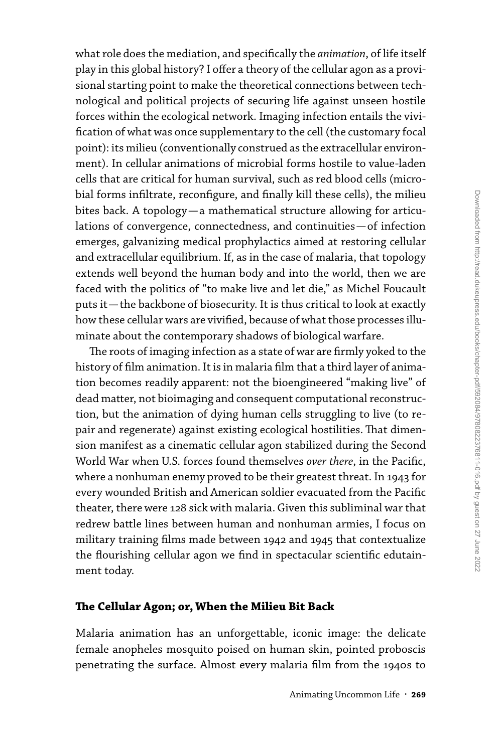what role does the mediation, and specifically the *animation*, of life itself play in this global history? I offer a theory of the cellular agon as a provisional starting point to make the theoretical connections between technological and political projects of securing life against unseen hostile forces within the ecological network. Imaging infection entails the vivification of what was once supplementary to the cell (the customary focal point): its milieu (conventionally construed as the extracellular environment). In cellular animations of microbial forms hostile to value-laden cells that are critical for human survival, such as red blood cells (microbial forms infiltrate, reconfigure, and finally kill these cells), the milieu bites back. A topology—a mathematical structure allowing for articulations of convergence, connectedness, and continuities—of infection emerges, galvanizing medical prophylactics aimed at restoring cellular and extracellular equilibrium. If, as in the case of malaria, that topology extends well beyond the human body and into the world, then we are faced with the politics of "to make live and let die," as Michel Foucault puts it—the backbone of biosecurity. It is thus critical to look at exactly how these cellular wars are vivified, because of what those processes illuminate about the contemporary shadows of biological warfare.

The roots of imaging infection as a state of war are firmly yoked to the history of film animation. It is in malaria film that a third layer of animation becomes readily apparent: not the bioengineered "making live" of dead matter, not bioimaging and consequent computational reconstruction, but the animation of dying human cells struggling to live (to repair and regenerate) against existing ecological hostilities. That dimension manifest as a cinematic cellular agon stabilized during the Second World War when U.S. forces found themselves *over there*, in the Pacific, where a nonhuman enemy proved to be their greatest threat. In 1943 for every wounded British and American soldier evacuated from the Pacific theater, there were 128 sick with malaria. Given this subliminal war that redrew battle lines between human and nonhuman armies, I focus on military training films made between 1942 and 1945 that contextualize the flourishing cellular agon we find in spectacular scientific edutainment today.

#### **The Cellular Agon; or, When the Milieu Bit Back**

Malaria animation has an unforgettable, iconic image: the delicate female anopheles mosquito poised on human skin, pointed proboscis penetrating the surface. Almost every malaria film from the 1940s to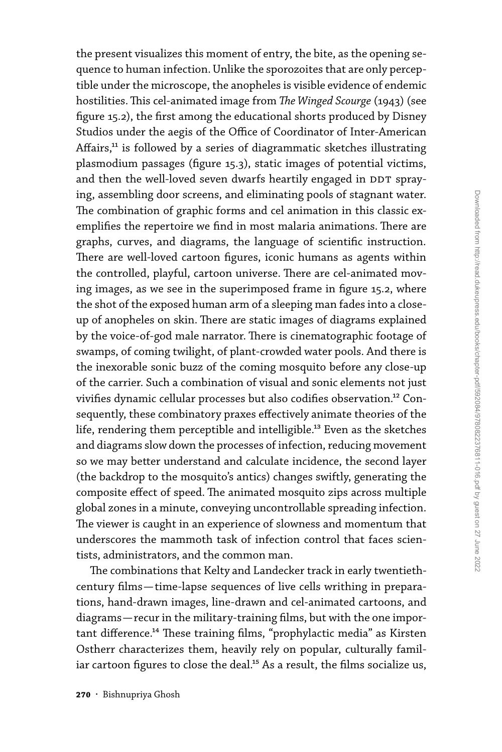the present visualizes this moment of entry, the bite, as the opening sequence to human infection. Unlike the sporozoites that are only perceptible under the microscope, the anopheles is visible evidence of endemic hostilities. This cel-animated image from *The Winged Scourge* (1943) (see figure 15.2), the first among the educational shorts produced by Disney Studios under the aegis of the Office of Coordinator of Inter-American Affairs,<sup>11</sup> is followed by a series of diagrammatic sketches illustrating plasmodium passages (figure 15.3), static images of potential victims, and then the well-loved seven dwarfs heartily engaged in DDT spraying, assembling door screens, and eliminating pools of stagnant water. The combination of graphic forms and cel animation in this classic exemplifies the repertoire we find in most malaria animations. There are graphs, curves, and diagrams, the language of scientific instruction. There are well-loved cartoon figures, iconic humans as agents within the controlled, playful, cartoon universe. There are cel-animated moving images, as we see in the superimposed frame in figure 15.2, where the shot of the exposed human arm of a sleeping man fades into a closeup of anopheles on skin. There are static images of diagrams explained by the voice-of-god male narrator. There is cinematographic footage of swamps, of coming twilight, of plant-crowded water pools. And there is the inexorable sonic buzz of the coming mosquito before any close-up of the carrier. Such a combination of visual and sonic elements not just vivifies dynamic cellular processes but also codifies observation.<sup>12</sup> Consequently, these combinatory praxes effectively animate theories of the life, rendering them perceptible and intelligible.<sup>13</sup> Even as the sketches and diagrams slow down the processes of infection, reducing movement so we may better understand and calculate incidence, the second layer (the backdrop to the mosquito's antics) changes swiftly, generating the composite effect of speed. The animated mosquito zips across multiple global zones in a minute, conveying uncontrollable spreading infection. The viewer is caught in an experience of slowness and momentum that underscores the mammoth task of infection control that faces scientists, administrators, and the common man.

The combinations that Kelty and Landecker track in early twentiethcentury films—time-lapse sequences of live cells writhing in preparations, hand-drawn images, line-drawn and cel-animated cartoons, and diagrams—recur in the military-training films, but with the one important difference.14 These training films, "prophylactic media" as Kirsten Ostherr characterizes them, heavily rely on popular, culturally familiar cartoon figures to close the deal.<sup>15</sup> As a result, the films socialize us,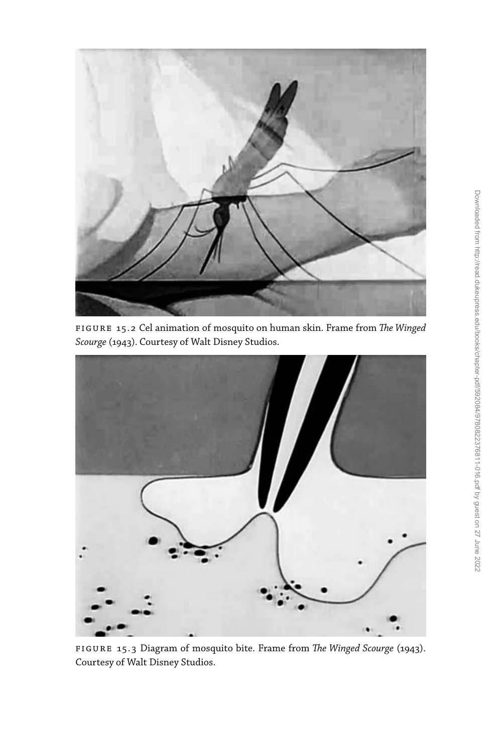

Figure 15.2 Cel animation of mosquito on human skin. Frame from *The Winged Scourge* (1943). Courtesy of Walt Disney Studios.



Figure 15.3 Diagram of mosquito bite. Frame from *The Winged Scourge* (1943). Courtesy of Walt Disney Studios.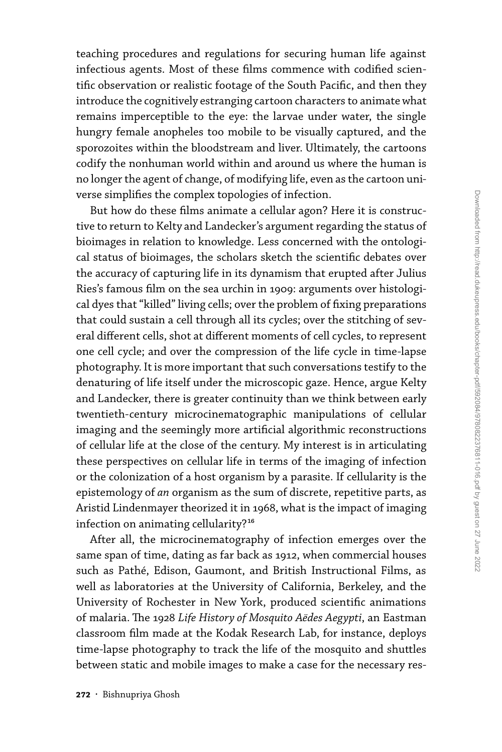teaching procedures and regulations for securing human life against infectious agents. Most of these films commence with codified scientific observation or realistic footage of the South Pacific, and then they introduce the cognitively estranging cartoon characters to animate what remains imperceptible to the eye: the larvae under water, the single hungry female anopheles too mobile to be visually captured, and the sporozoites within the bloodstream and liver. Ultimately, the cartoons codify the nonhuman world within and around us where the human is no longer the agent of change, of modifying life, even as the cartoon universe simplifies the complex topologies of infection.

But how do these films animate a cellular agon? Here it is constructive to return to Kelty and Landecker's argument regarding the status of bioimages in relation to knowledge. Less concerned with the ontological status of bioimages, the scholars sketch the scientific debates over the accuracy of capturing life in its dynamism that erupted after Julius Ries's famous film on the sea urchin in 1909: arguments over histological dyes that "killed" living cells; over the problem of fixing preparations that could sustain a cell through all its cycles; over the stitching of several different cells, shot at different moments of cell cycles, to represent one cell cycle; and over the compression of the life cycle in time-lapse photography. It is more important that such conversations testify to the denaturing of life itself under the microscopic gaze. Hence, argue Kelty and Landecker, there is greater continuity than we think between early twentieth-century microcinematographic manipulations of cellular imaging and the seemingly more artificial algorithmic reconstructions of cellular life at the close of the century. My interest is in articulating these perspectives on cellular life in terms of the imaging of infection or the colonization of a host organism by a parasite. If cellularity is the epistemology of *an* organism as the sum of discrete, repetitive parts, as Aristid Lindenmayer theorized it in 1968, what is the impact of imaging infection on animating cellularity?<sup>16</sup>

After all, the microcinematography of infection emerges over the same span of time, dating as far back as 1912, when commercial houses such as Pathé, Edison, Gaumont, and British Instructional Films, as well as laboratories at the University of California, Berkeley, and the University of Rochester in New York, produced scientific animations of malaria. The 1928 *Life History of Mosquito Aëdes Aegypti*, an Eastman classroom film made at the Kodak Research Lab, for instance, deploys time-lapse photography to track the life of the mosquito and shuttles between static and mobile images to make a case for the necessary res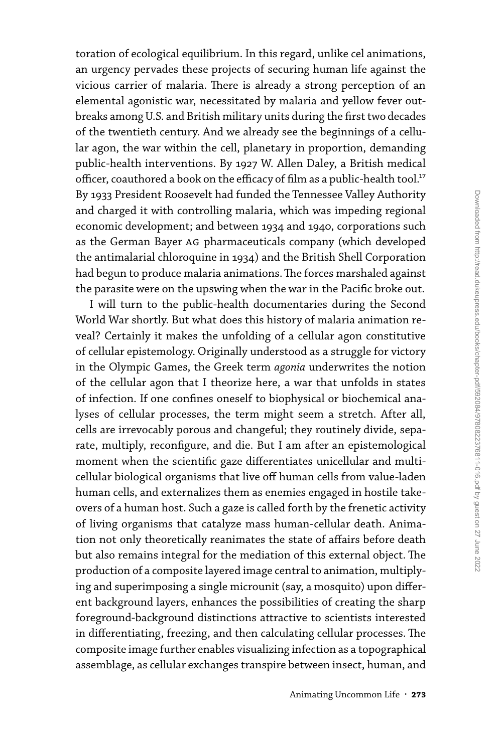toration of ecological equilibrium. In this regard, unlike cel animations, an urgency pervades these projects of securing human life against the vicious carrier of malaria. There is already a strong perception of an elemental agonistic war, necessitated by malaria and yellow fever outbreaks among U.S. and British military units during the first two decades of the twentieth century. And we already see the beginnings of a cellular agon, the war within the cell, planetary in proportion, demanding public-health interventions. By 1927 W. Allen Daley, a British medical officer, coauthored a book on the efficacy of film as a public-health tool.<sup>17</sup> By 1933 President Roosevelt had funded the Tennessee Valley Authority and charged it with controlling malaria, which was impeding regional economic development; and between 1934 and 1940, corporations such as the German Bayer ag pharmaceuticals company (which developed the antimalarial chloroquine in 1934) and the British Shell Corporation had begun to produce malaria animations. The forces marshaled against the parasite were on the upswing when the war in the Pacific broke out.

I will turn to the public-health documentaries during the Second World War shortly. But what does this history of malaria animation reveal? Certainly it makes the unfolding of a cellular agon constitutive of cellular epistemology. Originally understood as a struggle for victory in the Olympic Games, the Greek term *agonia* underwrites the notion of the cellular agon that I theorize here, a war that unfolds in states of infection. If one confines oneself to biophysical or biochemical analyses of cellular processes, the term might seem a stretch. After all, cells are irrevocably porous and changeful; they routinely divide, separate, multiply, reconfigure, and die. But I am after an epistemological moment when the scientific gaze differentiates unicellular and multicellular biological organisms that live off human cells from value-laden human cells, and externalizes them as enemies engaged in hostile takeovers of a human host. Such a gaze is called forth by the frenetic activity of living organisms that catalyze mass human-cellular death. Animation not only theoretically reanimates the state of affairs before death but also remains integral for the mediation of this external object. The production of a composite layered image central to animation, multiplying and superimposing a single microunit (say, a mosquito) upon different background layers, enhances the possibilities of creating the sharp foreground-background distinctions attractive to scientists interested in differentiating, freezing, and then calculating cellular processes. The composite image further enables visualizing infection as a topographical assemblage, as cellular exchanges transpire between insect, human, and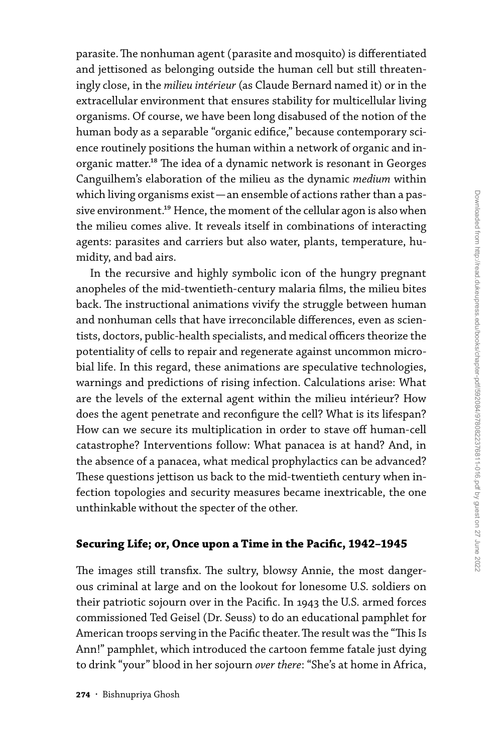parasite. The nonhuman agent (parasite and mosquito) is differentiated and jettisoned as belonging outside the human cell but still threateningly close, in the *milieu intérieur* (as Claude Bernard named it) or in the extracellular environment that ensures stability for multicellular living organisms. Of course, we have been long disabused of the notion of the human body as a separable "organic edifice," because contemporary science routinely positions the human within a network of organic and inorganic matter.<sup>18</sup> The idea of a dynamic network is resonant in Georges Canguilhem's elaboration of the milieu as the dynamic *medium* within which living organisms exist—an ensemble of actions rather than a passive environment.<sup>19</sup> Hence, the moment of the cellular agon is also when the milieu comes alive. It reveals itself in combinations of interacting agents: parasites and carriers but also water, plants, temperature, humidity, and bad airs.

In the recursive and highly symbolic icon of the hungry pregnant anopheles of the mid-twentieth-century malaria films, the milieu bites back. The instructional animations vivify the struggle between human and nonhuman cells that have irreconcilable differences, even as scientists, doctors, public-health specialists, and medical officers theorize the potentiality of cells to repair and regenerate against uncommon microbial life. In this regard, these animations are speculative technologies, warnings and predictions of rising infection. Calculations arise: What are the levels of the external agent within the milieu intérieur? How does the agent penetrate and reconfigure the cell? What is its lifespan? How can we secure its multiplication in order to stave off human-cell catastrophe? Interventions follow: What panacea is at hand? And, in the absence of a panacea, what medical prophylactics can be advanced? These questions jettison us back to the mid-twentieth century when infection topologies and security measures became inextricable, the one unthinkable without the specter of the other.

### **Securing Life; or, Once upon a Time in the Pacific, 1942–1945**

The images still transfix. The sultry, blowsy Annie, the most dangerous criminal at large and on the lookout for lonesome U.S. soldiers on their patriotic sojourn over in the Pacific. In 1943 the U.S. armed forces commissioned Ted Geisel (Dr. Seuss) to do an educational pamphlet for American troops serving in the Pacific theater. The result was the "This Is Ann!" pamphlet, which introduced the cartoon femme fatale just dying to drink "your" blood in her sojourn *over there*: "She's at home in Africa,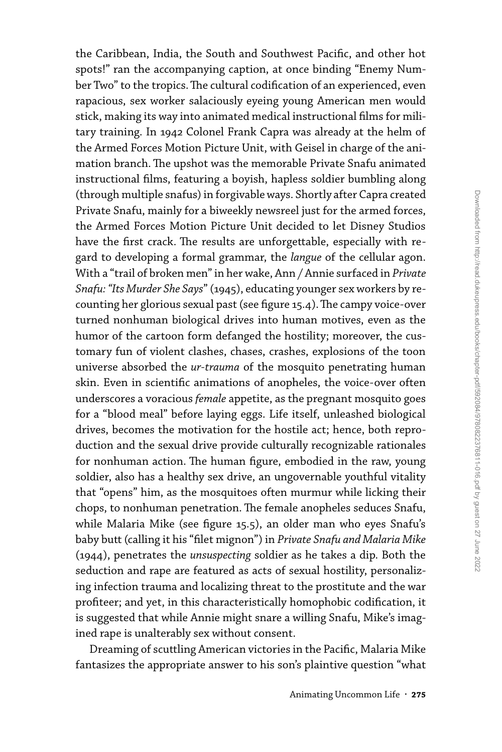the Caribbean, India, the South and Southwest Pacific, and other hot spots!" ran the accompanying caption, at once binding "Enemy Number Two" to the tropics. The cultural codification of an experienced, even rapacious, sex worker salaciously eyeing young American men would stick, making its way into animated medical instructional films for military training. In 1942 Colonel Frank Capra was already at the helm of the Armed Forces Motion Picture Unit, with Geisel in charge of the animation branch. The upshot was the memorable Private Snafu animated instructional films, featuring a boyish, hapless soldier bumbling along (through multiple snafus) in forgivable ways. Shortly after Capra created Private Snafu, mainly for a biweekly newsreel just for the armed forces, the Armed Forces Motion Picture Unit decided to let Disney Studios have the first crack. The results are unforgettable, especially with regard to developing a formal grammar, the *langue* of the cellular agon. With a "trail of broken men" in her wake, Ann / Annie surfaced in *Private Snafu: "Its Murder She Says*" (1945), educating younger sex workers by recounting her glorious sexual past (see figure 15.4). The campy voice-over turned nonhuman biological drives into human motives, even as the humor of the cartoon form defanged the hostility; moreover, the customary fun of violent clashes, chases, crashes, explosions of the toon universe absorbed the *ur-trauma* of the mosquito penetrating human skin. Even in scientific animations of anopheles, the voice-over often underscores a voracious *female* appetite, as the pregnant mosquito goes for a "blood meal" before laying eggs. Life itself, unleashed biological drives, becomes the motivation for the hostile act; hence, both reproduction and the sexual drive provide culturally recognizable rationales for nonhuman action. The human figure, embodied in the raw, young soldier, also has a healthy sex drive, an ungovernable youthful vitality that "opens" him, as the mosquitoes often murmur while licking their chops, to nonhuman penetration. The female anopheles seduces Snafu, while Malaria Mike (see figure 15.5), an older man who eyes Snafu's baby butt (calling it his "filet mignon") in *Private Snafu and Malaria Mike* (1944), penetrates the *unsuspecting* soldier as he takes a dip. Both the seduction and rape are featured as acts of sexual hostility, personalizing infection trauma and localizing threat to the prostitute and the war profiteer; and yet, in this characteristically homophobic codification, it is suggested that while Annie might snare a willing Snafu, Mike's imagined rape is unalterably sex without consent.

Dreaming of scuttling American victories in the Pacific, Malaria Mike fantasizes the appropriate answer to his son's plaintive question "what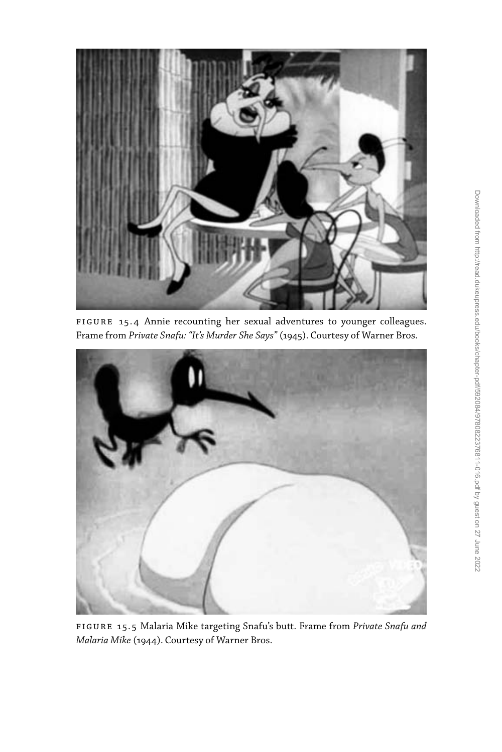

FIGURE 15.4 Annie recounting her sexual adventures to younger colleagues. Frame from *Private Snafu: "It's Murder She Says"* (1945). Courtesy of Warner Bros.



Figure 15.5 Malaria Mike targeting Snafu's butt. Frame from *Private Snafu and Malaria Mike* (1944). Courtesy of Warner Bros.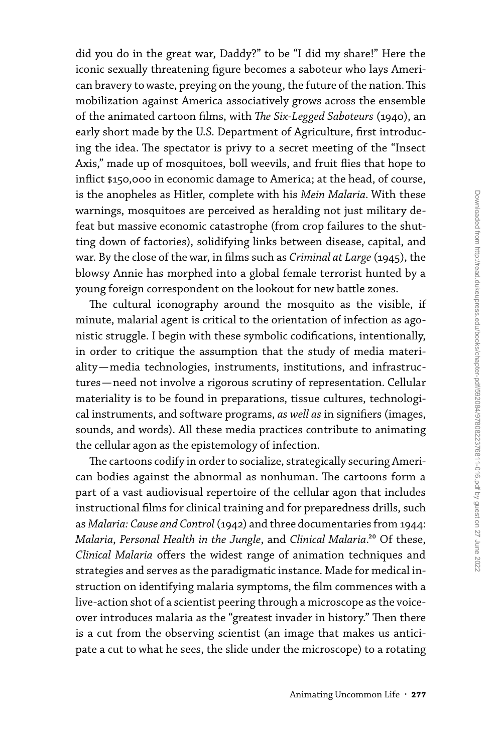did you do in the great war, Daddy?" to be "I did my share!" Here the iconic sexually threatening figure becomes a saboteur who lays American bravery to waste, preying on the young, the future of the nation. This mobilization against America associatively grows across the ensemble of the animated cartoon films, with *The Six-Legged Saboteurs* (1940), an early short made by the U.S. Department of Agriculture, first introducing the idea. The spectator is privy to a secret meeting of the "Insect Axis," made up of mosquitoes, boll weevils, and fruit flies that hope to inflict \$150,000 in economic damage to America; at the head, of course, is the anopheles as Hitler, complete with his *Mein Malaria*. With these warnings, mosquitoes are perceived as heralding not just military defeat but massive economic catastrophe (from crop failures to the shutting down of factories), solidifying links between disease, capital, and war. By the close of the war, in films such as *Criminal at Large* (1945), the blowsy Annie has morphed into a global female terrorist hunted by a young foreign correspondent on the lookout for new battle zones.

The cultural iconography around the mosquito as the visible, if minute, malarial agent is critical to the orientation of infection as agonistic struggle. I begin with these symbolic codifications, intentionally, in order to critique the assumption that the study of media materiality—media technologies, instruments, institutions, and infrastructures—need not involve a rigorous scrutiny of representation. Cellular materiality is to be found in preparations, tissue cultures, technological instruments, and software programs, *as well as* in signifiers (images, sounds, and words). All these media practices contribute to animating the cellular agon as the epistemology of infection.

The cartoons codify in order to socialize, strategically securing American bodies against the abnormal as nonhuman. The cartoons form a part of a vast audiovisual repertoire of the cellular agon that includes instructional films for clinical training and for preparedness drills, such as *Malaria: Cause and Control* (1942) and three documentaries from 1944: *Malaria*, *Personal Health in the Jungle*, and *Clinical Malaria*.20 Of these, *Clinical Malaria* offers the widest range of animation techniques and strategies and serves as the paradigmatic instance. Made for medical instruction on identifying malaria symptoms, the film commences with a live-action shot of a scientist peering through a microscope as the voiceover introduces malaria as the "greatest invader in history." Then there is a cut from the observing scientist (an image that makes us anticipate a cut to what he sees, the slide under the microscope) to a rotating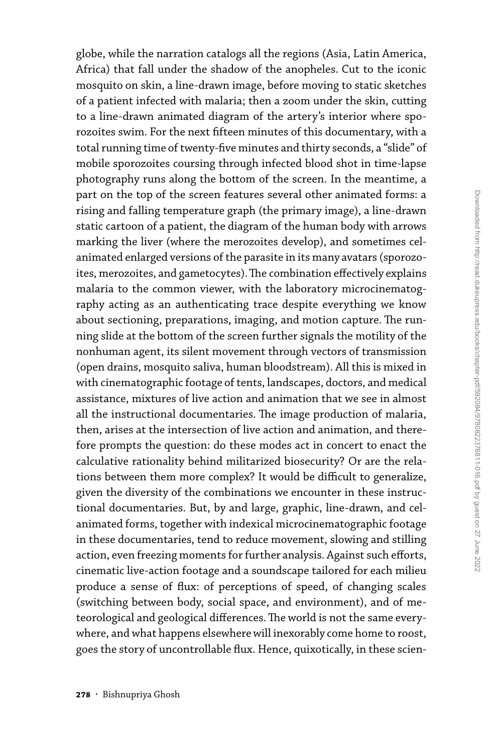globe, while the narration catalogs all the regions (Asia, Latin America, Africa) that fall under the shadow of the anopheles. Cut to the iconic mosquito on skin, a line-drawn image, before moving to static sketches of a patient infected with malaria; then a zoom under the skin, cutting to a line-drawn animated diagram of the artery's interior where sporozoites swim. For the next fifteen minutes of this documentary, with a total running time of twenty-five minutes and thirty seconds, a "slide" of mobile sporozoites coursing through infected blood shot in time-lapse photography runs along the bottom of the screen. In the meantime, a part on the top of the screen features several other animated forms: a rising and falling temperature graph (the primary image), a line-drawn static cartoon of a patient, the diagram of the human body with arrows marking the liver (where the merozoites develop), and sometimes celanimated enlarged versions of the parasite in its many avatars (sporozoites, merozoites, and gametocytes). The combination effectively explains malaria to the common viewer, with the laboratory microcinematography acting as an authenticating trace despite everything we know about sectioning, preparations, imaging, and motion capture. The running slide at the bottom of the screen further signals the motility of the nonhuman agent, its silent movement through vectors of transmission (open drains, mosquito saliva, human bloodstream). All this is mixed in with cinematographic footage of tents, landscapes, doctors, and medical assistance, mixtures of live action and animation that we see in almost all the instructional documentaries. The image production of malaria, then, arises at the intersection of live action and animation, and therefore prompts the question: do these modes act in concert to enact the calculative rationality behind militarized biosecurity? Or are the relations between them more complex? It would be difficult to generalize, given the diversity of the combinations we encounter in these instructional documentaries. But, by and large, graphic, line-drawn, and celanimated forms, together with indexical microcinematographic footage in these documentaries, tend to reduce movement, slowing and stilling action, even freezing moments for further analysis. Against such efforts, cinematic live-action footage and a soundscape tailored for each milieu produce a sense of flux: of perceptions of speed, of changing scales (switching between body, social space, and environment), and of meteorological and geological differences. The world is not the same everywhere, and what happens elsewhere will inexorably come home to roost, goes the story of uncontrollable flux. Hence, quixotically, in these scien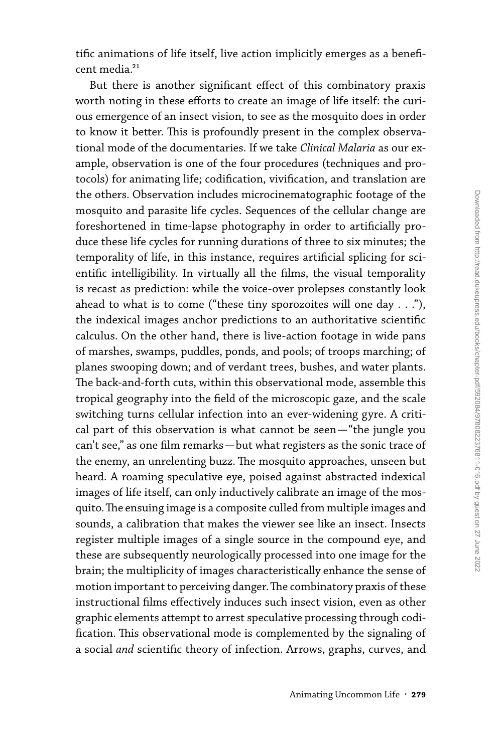tific animations of life itself, live action implicitly emerges as a beneficent media.<sup>21</sup>

But there is another significant effect of this combinatory praxis worth noting in these efforts to create an image of life itself: the curious emergence of an insect vision, to see as the mosquito does in order to know it better. This is profoundly present in the complex observational mode of the documentaries. If we take *Clinical Malaria* as our example, observation is one of the four procedures (techniques and protocols) for animating life; codification, vivification, and translation are the others. Observation includes microcinematographic footage of the mosquito and parasite life cycles. Sequences of the cellular change are foreshortened in time-lapse photography in order to artificially produce these life cycles for running durations of three to six minutes; the temporality of life, in this instance, requires artificial splicing for scientific intelligibility. In virtually all the films, the visual temporality is recast as prediction: while the voice-over prolepses constantly look ahead to what is to come ("these tiny sporozoites will one day  $\dots$ "), the indexical images anchor predictions to an authoritative scientific calculus. On the other hand, there is live-action footage in wide pans of marshes, swamps, puddles, ponds, and pools; of troops marching; of planes swooping down; and of verdant trees, bushes, and water plants. The back-and-forth cuts, within this observational mode, assemble this tropical geography into the field of the microscopic gaze, and the scale switching turns cellular infection into an ever-widening gyre. A critical part of this observation is what cannot be seen—"the jungle you can't see," as one film remarks—but what registers as the sonic trace of the enemy, an unrelenting buzz. The mosquito approaches, unseen but heard. A roaming speculative eye, poised against abstracted indexical images of life itself, can only inductively calibrate an image of the mosquito. The ensuing image is a composite culled from multiple images and sounds, a calibration that makes the viewer see like an insect. Insects register multiple images of a single source in the compound eye, and these are subsequently neurologically processed into one image for the brain; the multiplicity of images characteristically enhance the sense of motion important to perceiving danger. The combinatory praxis of these instructional films effectively induces such insect vision, even as other graphic elements attempt to arrest speculative processing through codification. This observational mode is complemented by the signaling of a social *and* scientific theory of infection. Arrows, graphs, curves, and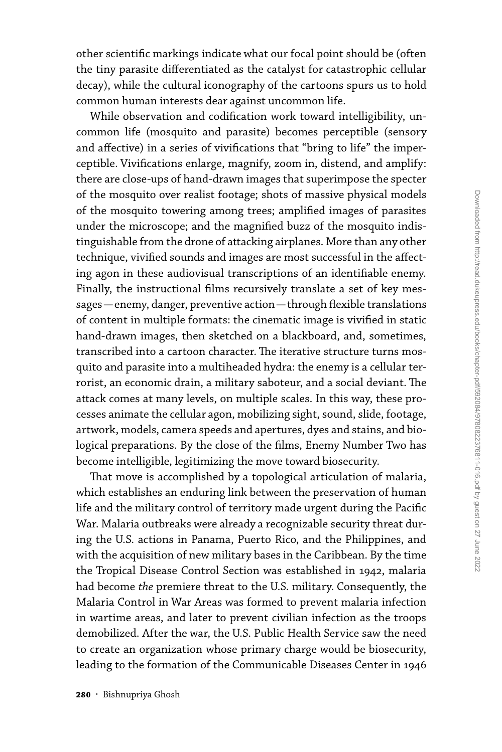other scientific markings indicate what our focal point should be (often the tiny parasite differentiated as the catalyst for catastrophic cellular decay), while the cultural iconography of the cartoons spurs us to hold common human interests dear against uncommon life.

While observation and codification work toward intelligibility, uncommon life (mosquito and parasite) becomes perceptible (sensory and affective) in a series of vivifications that "bring to life" the imperceptible. Vivifications enlarge, magnify, zoom in, distend, and amplify: there are close-ups of hand-drawn images that superimpose the specter of the mosquito over realist footage; shots of massive physical models of the mosquito towering among trees; amplified images of parasites under the microscope; and the magnified buzz of the mosquito indistinguishable from the drone of attacking airplanes. More than any other technique, vivified sounds and images are most successful in the affecting agon in these audiovisual transcriptions of an identifiable enemy. Finally, the instructional films recursively translate a set of key messages—enemy, danger, preventive action—through flexible translations of content in multiple formats: the cinematic image is vivified in static hand-drawn images, then sketched on a blackboard, and, sometimes, transcribed into a cartoon character. The iterative structure turns mosquito and parasite into a multiheaded hydra: the enemy is a cellular terrorist, an economic drain, a military saboteur, and a social deviant. The attack comes at many levels, on multiple scales. In this way, these processes animate the cellular agon, mobilizing sight, sound, slide, footage, artwork, models, camera speeds and apertures, dyes and stains, and biological preparations. By the close of the films, Enemy Number Two has become intelligible, legitimizing the move toward biosecurity.

That move is accomplished by a topological articulation of malaria, which establishes an enduring link between the preservation of human life and the military control of territory made urgent during the Pacific War. Malaria outbreaks were already a recognizable security threat during the U.S. actions in Panama, Puerto Rico, and the Philippines, and with the acquisition of new military bases in the Caribbean. By the time the Tropical Disease Control Section was established in 1942, malaria had become *the* premiere threat to the U.S. military. Consequently, the Malaria Control in War Areas was formed to prevent malaria infection in wartime areas, and later to prevent civilian infection as the troops demobilized. After the war, the U.S. Public Health Service saw the need to create an organization whose primary charge would be biosecurity, leading to the formation of the Communicable Diseases Center in 1946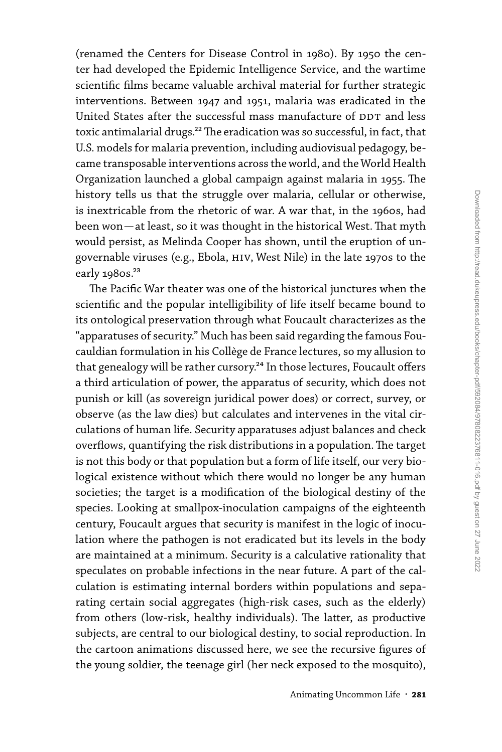(renamed the Centers for Disease Control in 1980). By 1950 the center had developed the Epidemic Intelligence Service, and the wartime scientific films became valuable archival material for further strategic interventions. Between 1947 and 1951, malaria was eradicated in the United States after the successful mass manufacture of DDT and less toxic antimalarial drugs.<sup>22</sup> The eradication was so successful, in fact, that U.S. models for malaria prevention, including audiovisual pedagogy, became transposable interventions across the world, and the World Health Organization launched a global campaign against malaria in 1955. The history tells us that the struggle over malaria, cellular or otherwise, is inextricable from the rhetoric of war. A war that, in the 1960s, had been won—at least, so it was thought in the historical West. That myth would persist, as Melinda Cooper has shown, until the eruption of ungovernable viruses (e.g., Ebola, hiv, West Nile) in the late 1970s to the early  $198$ os. $23$ 

The Pacific War theater was one of the historical junctures when the scientific and the popular intelligibility of life itself became bound to its ontological preservation through what Foucault characterizes as the "apparatuses of security." Much has been said regarding the famous Foucauldian formulation in his Collège de France lectures, so my allusion to that genealogy will be rather cursory.<sup>24</sup> In those lectures, Foucault offers a third articulation of power, the apparatus of security, which does not punish or kill (as sovereign juridical power does) or correct, survey, or observe (as the law dies) but calculates and intervenes in the vital circulations of human life. Security apparatuses adjust balances and check overflows, quantifying the risk distributions in a population. The target is not this body or that population but a form of life itself, our very biological existence without which there would no longer be any human societies; the target is a modification of the biological destiny of the species. Looking at smallpox-inoculation campaigns of the eighteenth century, Foucault argues that security is manifest in the logic of inoculation where the pathogen is not eradicated but its levels in the body are maintained at a minimum. Security is a calculative rationality that speculates on probable infections in the near future. A part of the calculation is estimating internal borders within populations and separating certain social aggregates (high-risk cases, such as the elderly) from others (low-risk, healthy individuals). The latter, as productive subjects, are central to our biological destiny, to social reproduction. In the cartoon animations discussed here, we see the recursive figures of the young soldier, the teenage girl (her neck exposed to the mosquito),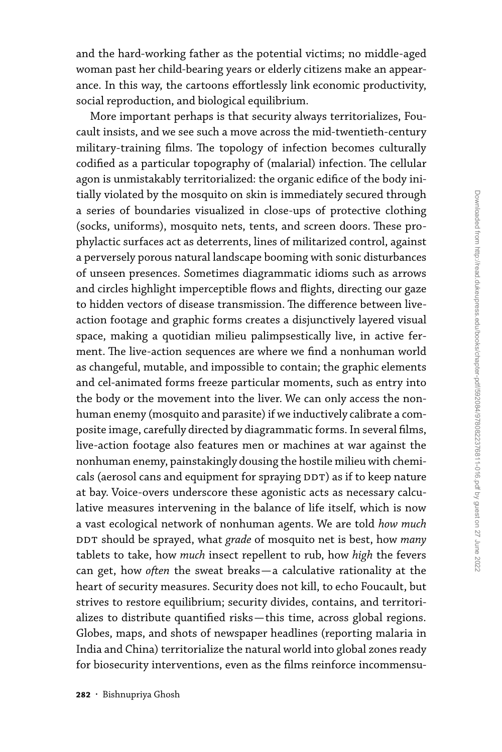and the hard-working father as the potential victims; no middle-aged woman past her child-bearing years or elderly citizens make an appearance. In this way, the cartoons effortlessly link economic productivity, social reproduction, and biological equilibrium.

More important perhaps is that security always territorializes, Foucault insists, and we see such a move across the mid-twentieth-century military-training films. The topology of infection becomes culturally codified as a particular topography of (malarial) infection. The cellular agon is unmistakably territorialized: the organic edifice of the body initially violated by the mosquito on skin is immediately secured through a series of boundaries visualized in close-ups of protective clothing (socks, uniforms), mosquito nets, tents, and screen doors. These prophylactic surfaces act as deterrents, lines of militarized control, against a perversely porous natural landscape booming with sonic disturbances of unseen presences. Sometimes diagrammatic idioms such as arrows and circles highlight imperceptible flows and flights, directing our gaze to hidden vectors of disease transmission. The difference between liveaction footage and graphic forms creates a disjunctively layered visual space, making a quotidian milieu palimpsestically live, in active ferment. The live-action sequences are where we find a nonhuman world as changeful, mutable, and impossible to contain; the graphic elements and cel-animated forms freeze particular moments, such as entry into the body or the movement into the liver. We can only access the nonhuman enemy (mosquito and parasite) if we inductively calibrate a composite image, carefully directed by diagrammatic forms. In several films, live-action footage also features men or machines at war against the nonhuman enemy, painstakingly dousing the hostile milieu with chemicals (aerosol cans and equipment for spraying DDT) as if to keep nature at bay. Voice-overs underscore these agonistic acts as necessary calculative measures intervening in the balance of life itself, which is now a vast ecological network of nonhuman agents. We are told *how much* DDT should be sprayed, what *grade* of mosquito net is best, how *many* tablets to take, how *much* insect repellent to rub, how *high* the fevers can get, how *often* the sweat breaks—a calculative rationality at the heart of security measures. Security does not kill, to echo Foucault, but strives to restore equilibrium; security divides, contains, and territorializes to distribute quantified risks—this time, across global regions. Globes, maps, and shots of newspaper headlines (reporting malaria in India and China) territorialize the natural world into global zones ready for biosecurity interventions, even as the films reinforce incommensu-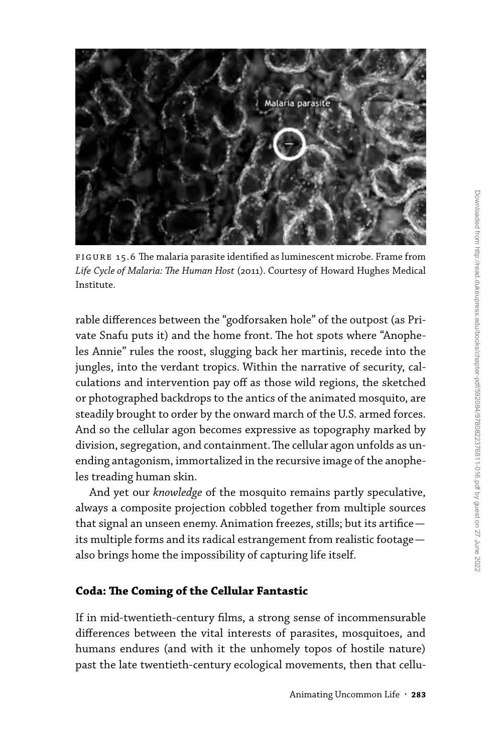

Figure 15.6 The malaria parasite identified as luminescent microbe. Frame from *Life Cycle of Malaria: The Human Host* (2011). Courtesy of Howard Hughes Medical Institute.

rable differences between the "godforsaken hole" of the outpost (as Private Snafu puts it) and the home front. The hot spots where "Anopheles Annie" rules the roost, slugging back her martinis, recede into the jungles, into the verdant tropics. Within the narrative of security, calculations and intervention pay off as those wild regions, the sketched or photographed backdrops to the antics of the animated mosquito, are steadily brought to order by the onward march of the U.S. armed forces. And so the cellular agon becomes expressive as topography marked by division, segregation, and containment. The cellular agon unfolds as unending antagonism, immortalized in the recursive image of the anopheles treading human skin.

And yet our *knowledge* of the mosquito remains partly speculative, always a composite projection cobbled together from multiple sources that signal an unseen enemy. Animation freezes, stills; but its artifice its multiple forms and its radical estrangement from realistic footage also brings home the impossibility of capturing life itself.

#### **Coda: The Coming of the Cellular Fantastic**

If in mid-twentieth-century films, a strong sense of incommensurable differences between the vital interests of parasites, mosquitoes, and humans endures (and with it the unhomely topos of hostile nature) past the late twentieth-century ecological movements, then that cellu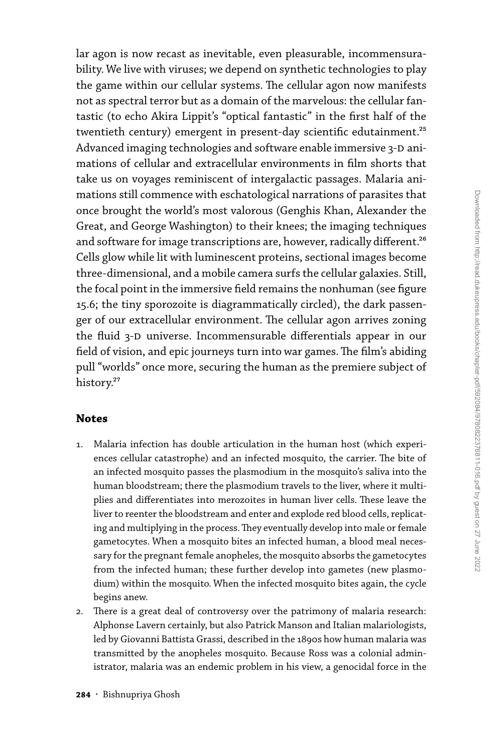lar agon is now recast as inevitable, even pleasurable, incommensurability. We live with viruses; we depend on synthetic technologies to play the game within our cellular systems. The cellular agon now manifests not as spectral terror but as a domain of the marvelous: the cellular fantastic (to echo Akira Lippit's "optical fantastic" in the first half of the twentieth century) emergent in present-day scientific edutainment.<sup>25</sup> Advanced imaging technologies and software enable immersive 3-D animations of cellular and extracellular environments in film shorts that take us on voyages reminiscent of intergalactic passages. Malaria animations still commence with eschatological narrations of parasites that once brought the world's most valorous (Genghis Khan, Alexander the Great, and George Washington) to their knees; the imaging techniques and software for image transcriptions are, however, radically different.<sup>26</sup> Cells glow while lit with luminescent proteins, sectional images become three-dimensional, and a mobile camera surfs the cellular galaxies. Still, the focal point in the immersive field remains the nonhuman (see figure 15.6; the tiny sporozoite is diagrammatically circled), the dark passenger of our extracellular environment. The cellular agon arrives zoning the fluid 3-D universe. Incommensurable differentials appear in our field of vision, and epic journeys turn into war games. The film's abiding pull "worlds" once more, securing the human as the premiere subject of history.<sup>27</sup>

#### **Notes**

- 1. Malaria infection has double articulation in the human host (which experiences cellular catastrophe) and an infected mosquito, the carrier. The bite of an infected mosquito passes the plasmodium in the mosquito's saliva into the human bloodstream; there the plasmodium travels to the liver, where it multiplies and differentiates into merozoites in human liver cells. These leave the liver to reenter the bloodstream and enter and explode red blood cells, replicating and multiplying in the process. They eventually develop into male or female gametocytes. When a mosquito bites an infected human, a blood meal necessary for the pregnant female anopheles, the mosquito absorbs the gametocytes from the infected human; these further develop into gametes (new plasmodium) within the mosquito. When the infected mosquito bites again, the cycle begins anew.
- 2. There is a great deal of controversy over the patrimony of malaria research: Alphonse Lavern certainly, but also Patrick Manson and Italian malariologists, led by Giovanni Battista Grassi, described in the 1890s how human malaria was transmitted by the anopheles mosquito. Because Ross was a colonial administrator, malaria was an endemic problem in his view, a genocidal force in the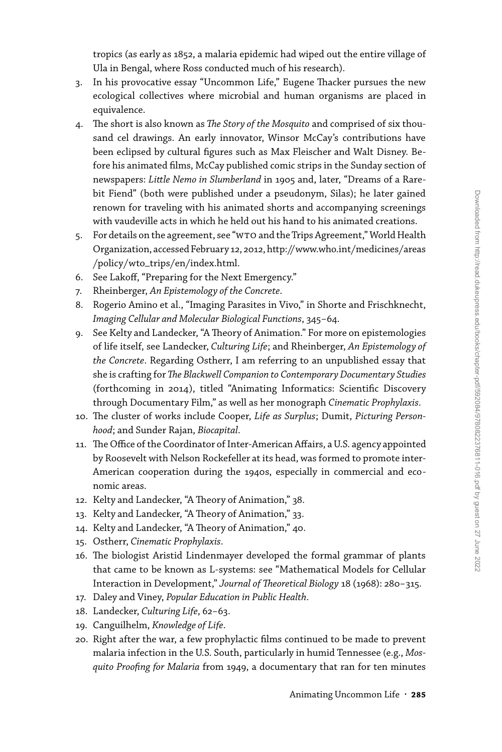tropics (as early as 1852, a malaria epidemic had wiped out the entire village of Ula in Bengal, where Ross conducted much of his research).

- 3. In his provocative essay "Uncommon Life," Eugene Thacker pursues the new ecological collectives where microbial and human organisms are placed in equivalence.
- 4. The short is also known as *The Story of the Mosquito* and comprised of six thousand cel drawings. An early innovator, Winsor McCay's contributions have been eclipsed by cultural figures such as Max Fleischer and Walt Disney. Before his animated films, McCay published comic strips in the Sunday section of newspapers: *Little Nemo in Slumberland* in 1905 and, later, "Dreams of a Rarebit Fiend" (both were published under a pseudonym, Silas); he later gained renown for traveling with his animated shorts and accompanying screenings with vaudeville acts in which he held out his hand to his animated creations.
- 5. For details on the agreement, see "wto and the Trips Agreement," World Health Organization, accessed February 12, 2012, http://www.who.int/medicines/areas /policy/wto\_trips/en/index.html.
- 6. See Lakoff, "Preparing for the Next Emergency."
- 7. Rheinberger, *An Epistemology of the Concrete*.
- 8. Rogerio Amino et al., "Imaging Parasites in Vivo," in Shorte and Frischknecht, *Imaging Cellular and Molecular Biological Functions*, 345–64.
- 9. See Kelty and Landecker, "A Theory of Animation." For more on epistemologies of life itself, see Landecker, *Culturing Life*; and Rheinberger, *An Epistemology of the Concrete*. Regarding Ostherr, I am referring to an unpublished essay that she is crafting for *The Blackwell Companion to Contemporary Documentary Studies* (forthcoming in 2014), titled "Animating Informatics: Scientific Discovery through Documentary Film," as well as her monograph *Cinematic Prophylaxis*.
- 10. The cluster of works include Cooper, *Life as Surplus*; Dumit, *Picturing Personhood*; and Sunder Rajan, *Biocapital*.
- 11. The Office of the Coordinator of Inter-American Affairs, a U.S. agency appointed by Roosevelt with Nelson Rockefeller at its head, was formed to promote inter-American cooperation during the 1940s, especially in commercial and economic areas.
- 12. Kelty and Landecker, "A Theory of Animation," 38.
- 13. Kelty and Landecker, "A Theory of Animation," 33.
- 14. Kelty and Landecker, "A Theory of Animation," 40.
- 15. Ostherr, *Cinematic Prophylaxis*.
- 16. The biologist Aristid Lindenmayer developed the formal grammar of plants that came to be known as L-systems: see "Mathematical Models for Cellular Interaction in Development," *Journal of Theoretical Biology* 18 (1968): 280–315.
- 17. Daley and Viney, *Popular Education in Public Health*.
- 18. Landecker, *Culturing Life*, 62–63.
- 19. Canguilhelm, *Knowledge of Life*.
- 20. Right after the war, a few prophylactic films continued to be made to prevent malaria infection in the U.S. South, particularly in humid Tennessee (e.g., *Mosquito Proofing for Malaria* from 1949, a documentary that ran for ten minutes